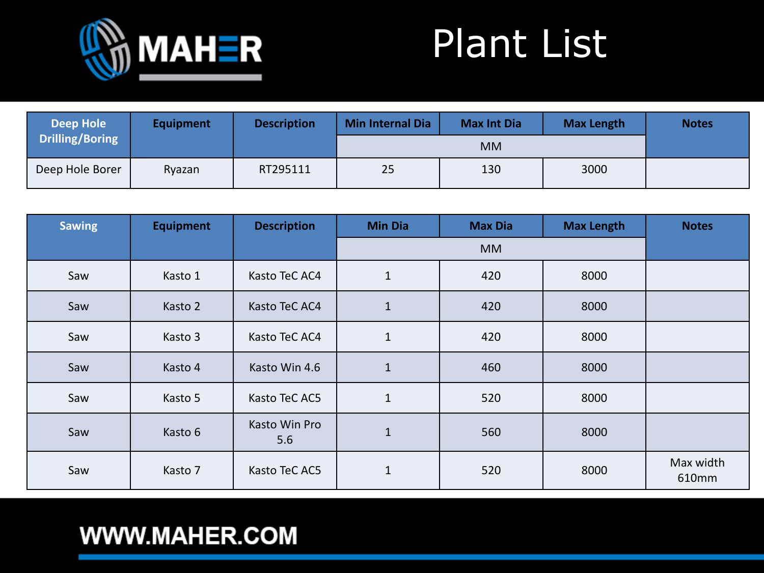

| <b>Deep Hole</b>       | <b>Equipment</b> | <b>Description</b> | <b>Min Internal Dia</b> | <b>Max Int Dia</b> | <b>Max Length</b> | <b>Notes</b> |
|------------------------|------------------|--------------------|-------------------------|--------------------|-------------------|--------------|
| <b>Drilling/Boring</b> |                  |                    |                         | <b>MM</b>          |                   |              |
| Deep Hole Borer        | Ryazan           | RT295111           | 25                      | 130                | 3000              |              |

| <b>Sawing</b> | <b>Equipment</b> | <b>Description</b>   | <b>Min Dia</b> | <b>Max Dia</b> | <b>Max Length</b> | <b>Notes</b>       |
|---------------|------------------|----------------------|----------------|----------------|-------------------|--------------------|
|               |                  |                      |                | <b>MM</b>      |                   |                    |
| Saw           | Kasto 1          | Kasto TeC AC4        | $\mathbf{1}$   | 420            | 8000              |                    |
| Saw           | Kasto 2          | Kasto TeC AC4        | $\mathbf 1$    | 420            | 8000              |                    |
| Saw           | Kasto 3          | Kasto TeC AC4        | $\mathbf{1}$   | 420            | 8000              |                    |
| Saw           | Kasto 4          | Kasto Win 4.6        | $\mathbf 1$    | 460            | 8000              |                    |
| Saw           | Kasto 5          | Kasto TeC AC5        | $\mathbf 1$    | 520            | 8000              |                    |
| Saw           | Kasto 6          | Kasto Win Pro<br>5.6 | $\mathbf 1$    | 560            | 8000              |                    |
| Saw           | Kasto 7          | Kasto TeC AC5        | $\mathbf 1$    | 520            | 8000              | Max width<br>610mm |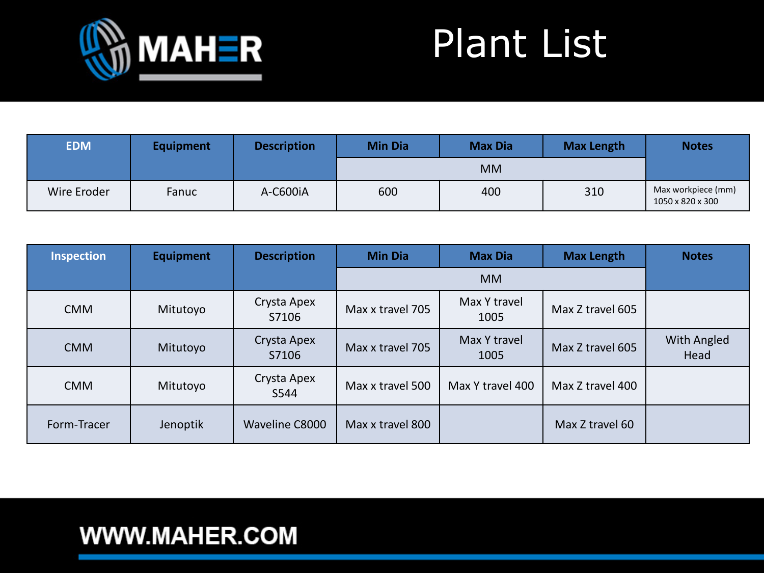

| <b>EDM</b>  | <b>Equipment</b> | <b>Description</b> | <b>Min Dia</b> | <b>Max Dia</b> | <b>Max Length</b> | <b>Notes</b>                           |
|-------------|------------------|--------------------|----------------|----------------|-------------------|----------------------------------------|
|             |                  |                    |                | <b>MM</b>      |                   |                                        |
| Wire Eroder | Fanuc            | A-C600iA           | 600            | 400            | 310               | Max workpiece (mm)<br>1050 x 820 x 300 |

| <b>Inspection</b> | <b>Equipment</b> | <b>Description</b>   | <b>Min Dia</b>   | <b>Max Dia</b>       | <b>Max Length</b> | <b>Notes</b>        |
|-------------------|------------------|----------------------|------------------|----------------------|-------------------|---------------------|
|                   |                  |                      |                  | <b>MM</b>            |                   |                     |
| <b>CMM</b>        | Mitutoyo         | Crysta Apex<br>S7106 | Max x travel 705 | Max Y travel<br>1005 | Max Z travel 605  |                     |
| <b>CMM</b>        | Mitutoyo         | Crysta Apex<br>S7106 | Max x travel 705 | Max Y travel<br>1005 | Max Z travel 605  | With Angled<br>Head |
| <b>CMM</b>        | Mitutoyo         | Crysta Apex<br>S544  | Max x travel 500 | Max Y travel 400     | Max Z travel 400  |                     |
| Form-Tracer       | Jenoptik         | Waveline C8000       | Max x travel 800 |                      | Max Z travel 60   |                     |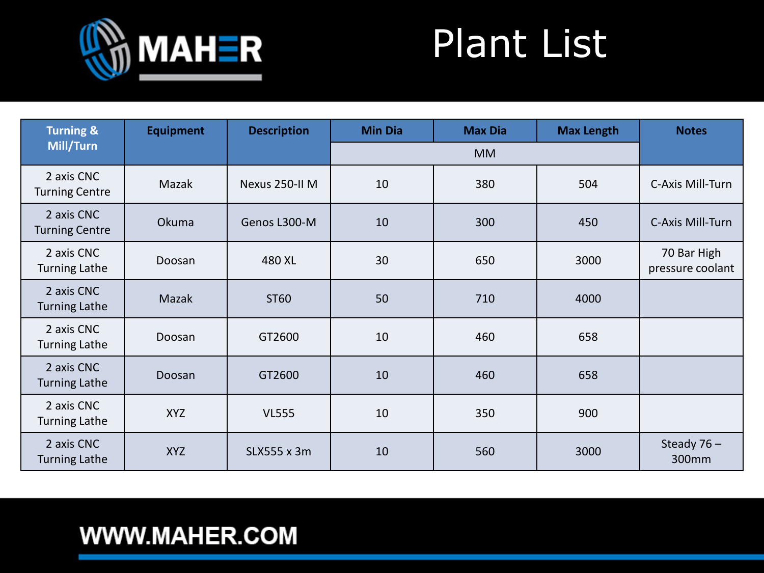

| <b>Turning &amp;</b>                | <b>Equipment</b> | <b>Description</b> | <b>Min Dia</b> | <b>Max Dia</b> | <b>Max Length</b> | <b>Notes</b>                    |
|-------------------------------------|------------------|--------------------|----------------|----------------|-------------------|---------------------------------|
| Mill/Turn                           |                  |                    |                | <b>MM</b>      |                   |                                 |
| 2 axis CNC<br><b>Turning Centre</b> | Mazak            | Nexus 250-II M     | 10             | 380            | 504               | C-Axis Mill-Turn                |
| 2 axis CNC<br><b>Turning Centre</b> | Okuma            | Genos L300-M       | 10             | 300            | 450               | C-Axis Mill-Turn                |
| 2 axis CNC<br><b>Turning Lathe</b>  | Doosan           | 480 XL             | 30             | 650            | 3000              | 70 Bar High<br>pressure coolant |
| 2 axis CNC<br><b>Turning Lathe</b>  | Mazak            | ST60               | 50             | 710            | 4000              |                                 |
| 2 axis CNC<br><b>Turning Lathe</b>  | Doosan           | GT2600             | 10             | 460            | 658               |                                 |
| 2 axis CNC<br><b>Turning Lathe</b>  | Doosan           | GT2600             | 10             | 460            | 658               |                                 |
| 2 axis CNC<br><b>Turning Lathe</b>  | <b>XYZ</b>       | <b>VL555</b>       | 10             | 350            | 900               |                                 |
| 2 axis CNC<br><b>Turning Lathe</b>  | <b>XYZ</b>       | SLX555 x 3m        | 10             | 560            | 3000              | Steady $76 -$<br>300mm          |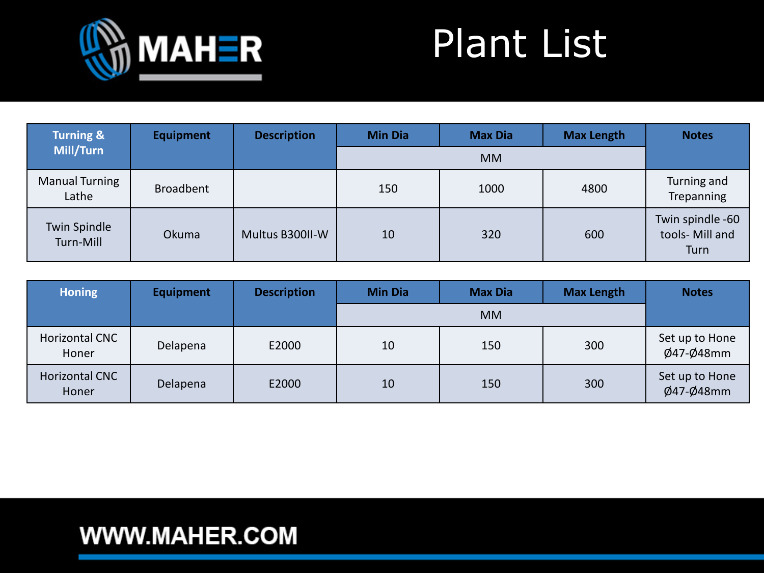

| <b>Turning &amp;</b>           | <b>Equipment</b> | <b>Description</b> | <b>Min Dia</b> | <b>Max Dia</b> | <b>Max Length</b> | <b>Notes</b>                                |
|--------------------------------|------------------|--------------------|----------------|----------------|-------------------|---------------------------------------------|
| Mill/Turn                      |                  |                    |                | <b>MM</b>      |                   |                                             |
| <b>Manual Turning</b><br>Lathe | <b>Broadbent</b> |                    | 150            | 1000           | 4800              | Turning and<br>Trepanning                   |
| Twin Spindle<br>Turn-Mill      | Okuma            | Multus B300II-W    | 10             | 320            | 600               | Twin spindle -60<br>tools- Mill and<br>Turn |

| <b>Honing</b>           | <b>Equipment</b> | <b>Description</b> | <b>Min Dia</b> | <b>Max Dia</b> | <b>Max Length</b> | <b>Notes</b>                |
|-------------------------|------------------|--------------------|----------------|----------------|-------------------|-----------------------------|
|                         |                  |                    |                | <b>MM</b>      |                   |                             |
| Horizontal CNC<br>Honer | Delapena         | E2000              | 10             | 150            | 300               | Set up to Hone<br>Ø47-Ø48mm |
| Horizontal CNC<br>Honer | Delapena         | E2000              | 10             | 150            | 300               | Set up to Hone<br>Ø47-Ø48mm |